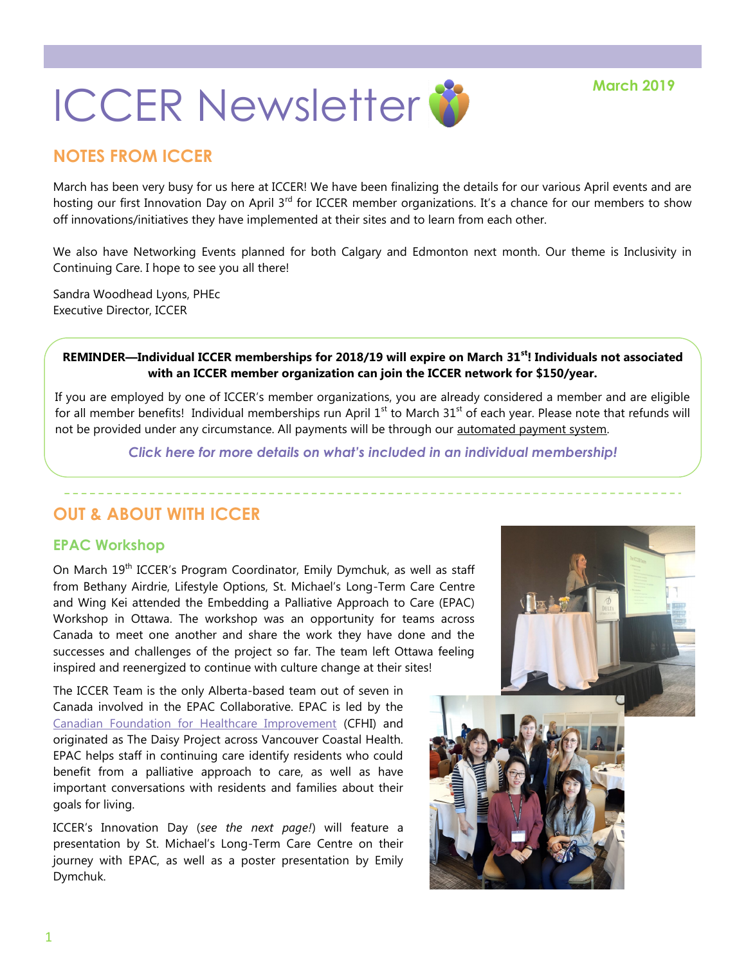

### **NOTES FROM ICCER**

March has been very busy for us here at ICCER! We have been finalizing the details for our various April events and are hosting our first Innovation Day on April 3<sup>rd</sup> for ICCER member organizations. It's a chance for our members to show off innovations/initiatives they have implemented at their sites and to learn from each other.

We also have Networking Events planned for both Calgary and Edmonton next month. Our theme is Inclusivity in Continuing Care. I hope to see you all there!

Sandra Woodhead Lyons, PHEc Executive Director, ICCER

#### **REMINDER—Individual ICCER memberships for 2018/19 will expire on March 31st! Individuals not associated with an ICCER member organization can join the ICCER network for \$150/year.**

If you are employed by one of ICCER's member organizations, you are already considered a member and are eligible for all member benefits! Individual memberships run April  $1^{st}$  to March  $31^{st}$  of each year. Please note that refunds will not be provided under any circumstance. All payments will be through our [automated payment system.](https://payment.augustana.ualberta.ca/store/Rehab+Medicine+-+ICCER+Store/)

*[Click here for more details on what's included in an individual membership!](http://iccer.ca/im.html)*

# **OUT & ABOUT WITH ICCER**

### **EPAC Workshop**

On March 19<sup>th</sup> ICCER's Program Coordinator, Emily Dymchuk, as well as staff from Bethany Airdrie, Lifestyle Options, St. Michael's Long-Term Care Centre and Wing Kei attended the Embedding a Palliative Approach to Care (EPAC) Workshop in Ottawa. The workshop was an opportunity for teams across Canada to meet one another and share the work they have done and the successes and challenges of the project so far. The team left Ottawa feeling inspired and reenergized to continue with culture change at their sites!

The ICCER Team is the only Alberta-based team out of seven in Canada involved in the EPAC Collaborative. EPAC is led by the [Canadian Foundation for Healthcare Improvement](https://www.cfhi-fcass.ca/WhatWeDo/epac) (CFHI) and originated as The Daisy Project across Vancouver Coastal Health. EPAC helps staff in continuing care identify residents who could benefit from a palliative approach to care, as well as have important conversations with residents and families about their goals for living.

ICCER's Innovation Day (*see the next page!*) will feature a presentation by St. Michael's Long-Term Care Centre on their journey with EPAC, as well as a poster presentation by Emily Dymchuk.

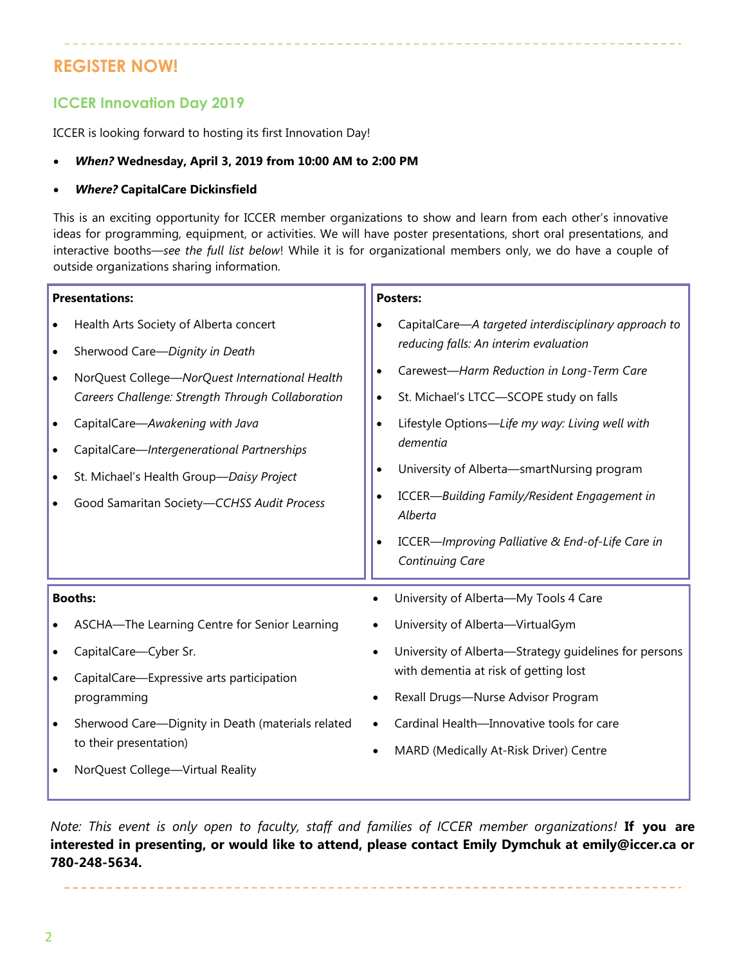# **REGISTER NOW!**

### **ICCER Innovation Day 2019**

ICCER is looking forward to hosting its first Innovation Day!

#### *When?* **Wednesday, April 3, 2019 from 10:00 AM to 2:00 PM**

#### *Where?* **CapitalCare Dickinsfield**

This is an exciting opportunity for ICCER member organizations to show and learn from each other's innovative ideas for programming, equipment, or activities. We will have poster presentations, short oral presentations, and interactive booths—*see the full list below*! While it is for organizational members only, we do have a couple of outside organizations sharing information.

| <b>Presentations:</b>               |                                                                                                                                                                                                                                                                                | <b>Posters:</b>                                                            |                                                                                                                                                                                                                                                                                                                                     |
|-------------------------------------|--------------------------------------------------------------------------------------------------------------------------------------------------------------------------------------------------------------------------------------------------------------------------------|----------------------------------------------------------------------------|-------------------------------------------------------------------------------------------------------------------------------------------------------------------------------------------------------------------------------------------------------------------------------------------------------------------------------------|
| $\bullet$<br>$\bullet$              | Health Arts Society of Alberta concert<br>Sherwood Care-Dignity in Death                                                                                                                                                                                                       | $\bullet$                                                                  | CapitalCare-A targeted interdisciplinary approach to<br>reducing falls: An interim evaluation                                                                                                                                                                                                                                       |
| $\bullet$<br>$\bullet$<br>$\bullet$ | NorQuest College-NorQuest International Health<br>Careers Challenge: Strength Through Collaboration<br>CapitalCare-Awakening with Java<br>CapitalCare-Intergenerational Partnerships<br>St. Michael's Health Group-Daisy Project<br>Good Samaritan Society-CCHSS Audit Process | $\bullet$<br>$\bullet$<br>$\bullet$<br>$\bullet$<br>$\bullet$<br>$\bullet$ | Carewest-Harm Reduction in Long-Term Care<br>St. Michael's LTCC-SCOPE study on falls<br>Lifestyle Options-Life my way: Living well with<br>dementia<br>University of Alberta-smartNursing program<br>ICCER-Building Family/Resident Engagement in<br>Alberta<br>ICCER-Improving Palliative & End-of-Life Care in<br>Continuing Care |
| <b>Booths:</b>                      |                                                                                                                                                                                                                                                                                |                                                                            | University of Alberta-My Tools 4 Care                                                                                                                                                                                                                                                                                               |
|                                     | ASCHA-The Learning Centre for Senior Learning                                                                                                                                                                                                                                  |                                                                            | University of Alberta-VirtualGym                                                                                                                                                                                                                                                                                                    |
| $\bullet$                           | CapitalCare-Cyber Sr.                                                                                                                                                                                                                                                          |                                                                            | University of Alberta-Strategy guidelines for persons                                                                                                                                                                                                                                                                               |
| $\bullet$                           | CapitalCare-Expressive arts participation<br>programming                                                                                                                                                                                                                       |                                                                            | with dementia at risk of getting lost<br>Rexall Drugs-Nurse Advisor Program                                                                                                                                                                                                                                                         |
| $\bullet$                           | Sherwood Care-Dignity in Death (materials related                                                                                                                                                                                                                              |                                                                            | Cardinal Health-Innovative tools for care                                                                                                                                                                                                                                                                                           |
|                                     | to their presentation)                                                                                                                                                                                                                                                         |                                                                            | MARD (Medically At-Risk Driver) Centre                                                                                                                                                                                                                                                                                              |
|                                     | NorQuest College-Virtual Reality                                                                                                                                                                                                                                               |                                                                            |                                                                                                                                                                                                                                                                                                                                     |

*Note: This event is only open to faculty, staff and families of ICCER member organizations!* **If you are interested in presenting, or would like to attend, please contact Emily Dymchuk at emily@iccer.ca or 780-248-5634.**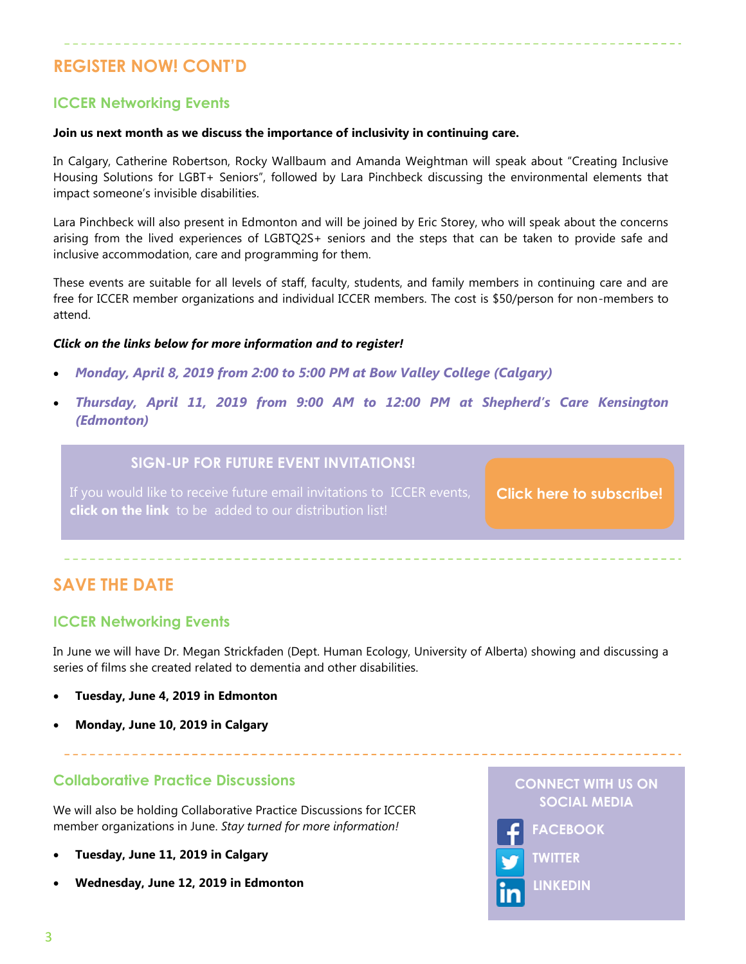# **REGISTER NOW! CONT'D**

### **ICCER Networking Events**

#### **Join us next month as we discuss the importance of inclusivity in continuing care.**

In Calgary, Catherine Robertson, Rocky Wallbaum and Amanda Weightman will speak about "Creating Inclusive Housing Solutions for LGBT+ Seniors", followed by Lara Pinchbeck discussing the environmental elements that impact someone's invisible disabilities.

Lara Pinchbeck will also present in Edmonton and will be joined by Eric Storey, who will speak about the concerns arising from the lived experiences of LGBTQ2S+ seniors and the steps that can be taken to provide safe and inclusive accommodation, care and programming for them.

These events are suitable for all levels of staff, faculty, students, and family members in continuing care and are free for ICCER member organizations and individual ICCER members. The cost is \$50/person for non-members to attend.

#### *Click on the links below for more information and to register!*

- *[Monday, April 8, 2019 from 2:00 to 5:00 PM at Bow Valley College \(Calgary\)](http://events.constantcontact.com/register/event?llr=hnncpkfab&oeidk=a07eg40oqgi96eda25d)*
- *[Thursday, April 11, 2019 from 9:00 AM to 12:00 PM at Shepherd's Care Kensington](http://events.constantcontact.com/register/event?llr=hnncpkfab&oeidk=a07eg332gxx5479c76f)  [\(Edmonton\)](http://events.constantcontact.com/register/event?llr=hnncpkfab&oeidk=a07eg332gxx5479c76f)*

### **SIGN-UP FOR FUTURE EVENT INVITATIONS!**

**click on the link** to be added to our distribution list!

**[Click here to subscribe!](https://visitor.r20.constantcontact.com/manage/optin?v=001MqUcqqvjwLD850nipaor0HtdI1Y9d8ED2u9ivDzRV7Gp5uTyf2p54vfsufOQXL7BcGZnnLM-9yRAw3TIqncd_CNV4yZzfE9gE8XUs-KE6So%3D)**

# **SAVE THE DATE**

### **ICCER Networking Events**

In June we will have Dr. Megan Strickfaden (Dept. Human Ecology, University of Alberta) showing and discussing a series of films she created related to dementia and other disabilities.

- **Tuesday, June 4, 2019 in Edmonton**
- **Monday, June 10, 2019 in Calgary**

### **Collaborative Practice Discussions**

We will also be holding Collaborative Practice Discussions for ICCER member organizations in June. *Stay turned for more information!*

- **Tuesday, June 11, 2019 in Calgary**
- **Wednesday, June 12, 2019 in Edmonton**

**CONNECT WITH US ON SOCIAL MEDIA**



**TWITTER**

**LINKEDIN**